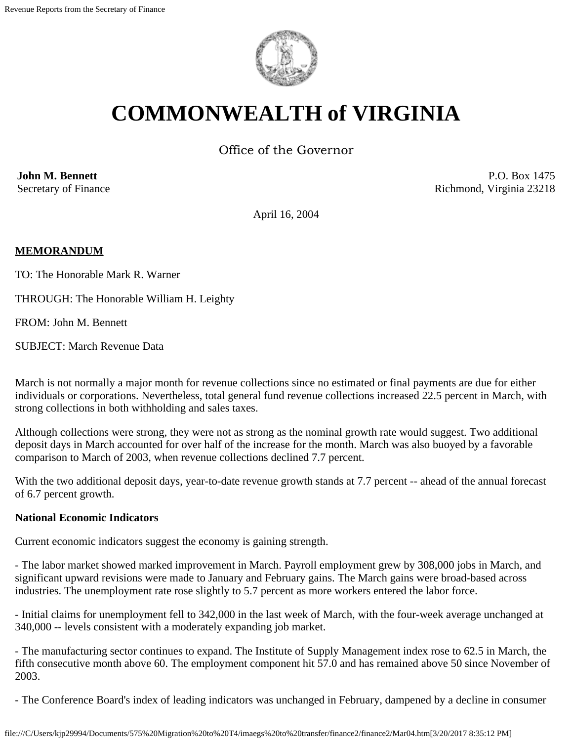

# **COMMONWEALTH of VIRGINIA**

Office of the Governor

**John M. Bennett** Secretary of Finance

P.O. Box 1475 Richmond, Virginia 23218

April 16, 2004

## **MEMORANDUM**

TO: The Honorable Mark R. Warner

THROUGH: The Honorable William H. Leighty

FROM: John M. Bennett

SUBJECT: March Revenue Data

March is not normally a major month for revenue collections since no estimated or final payments are due for either individuals or corporations. Nevertheless, total general fund revenue collections increased 22.5 percent in March, with strong collections in both withholding and sales taxes.

Although collections were strong, they were not as strong as the nominal growth rate would suggest. Two additional deposit days in March accounted for over half of the increase for the month. March was also buoyed by a favorable comparison to March of 2003, when revenue collections declined 7.7 percent.

With the two additional deposit days, year-to-date revenue growth stands at 7.7 percent -- ahead of the annual forecast of 6.7 percent growth.

### **National Economic Indicators**

Current economic indicators suggest the economy is gaining strength.

- The labor market showed marked improvement in March. Payroll employment grew by 308,000 jobs in March, and significant upward revisions were made to January and February gains. The March gains were broad-based across industries. The unemployment rate rose slightly to 5.7 percent as more workers entered the labor force.

- Initial claims for unemployment fell to 342,000 in the last week of March, with the four-week average unchanged at 340,000 -- levels consistent with a moderately expanding job market.

- The manufacturing sector continues to expand. The Institute of Supply Management index rose to 62.5 in March, the fifth consecutive month above 60. The employment component hit 57.0 and has remained above 50 since November of 2003.

- The Conference Board's index of leading indicators was unchanged in February, dampened by a decline in consumer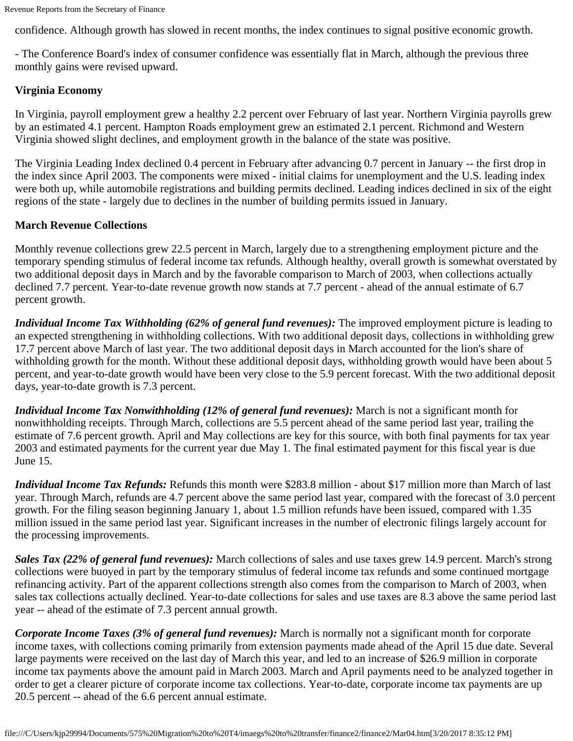confidence. Although growth has slowed in recent months, the index continues to signal positive economic growth.

- The Conference Board's index of consumer confidence was essentially flat in March, although the previous three monthly gains were revised upward.

# **Virginia Economy**

In Virginia, payroll employment grew a healthy 2.2 percent over February of last year. Northern Virginia payrolls grew by an estimated 4.1 percent. Hampton Roads employment grew an estimated 2.1 percent. Richmond and Western Virginia showed slight declines, and employment growth in the balance of the state was positive.

The Virginia Leading Index declined 0.4 percent in February after advancing 0.7 percent in January -- the first drop in the index since April 2003. The components were mixed - initial claims for unemployment and the U.S. leading index were both up, while automobile registrations and building permits declined. Leading indices declined in six of the eight regions of the state - largely due to declines in the number of building permits issued in January.

## **March Revenue Collections**

Monthly revenue collections grew 22.5 percent in March, largely due to a strengthening employment picture and the temporary spending stimulus of federal income tax refunds. Although healthy, overall growth is somewhat overstated by two additional deposit days in March and by the favorable comparison to March of 2003, when collections actually declined 7.7 percent. Year-to-date revenue growth now stands at 7.7 percent - ahead of the annual estimate of 6.7 percent growth.

*Individual Income Tax Withholding (62% of general fund revenues):* The improved employment picture is leading to an expected strengthening in withholding collections. With two additional deposit days, collections in withholding grew 17.7 percent above March of last year. The two additional deposit days in March accounted for the lion's share of withholding growth for the month. Without these additional deposit days, withholding growth would have been about 5 percent, and year-to-date growth would have been very close to the 5.9 percent forecast. With the two additional deposit days, year-to-date growth is 7.3 percent.

*Individual Income Tax Nonwithholding (12% of general fund revenues):* March is not a significant month for nonwithholding receipts. Through March, collections are 5.5 percent ahead of the same period last year, trailing the estimate of 7.6 percent growth. April and May collections are key for this source, with both final payments for tax year 2003 and estimated payments for the current year due May 1. The final estimated payment for this fiscal year is due June 15.

*Individual Income Tax Refunds:* Refunds this month were \$283.8 million - about \$17 million more than March of last year. Through March, refunds are 4.7 percent above the same period last year, compared with the forecast of 3.0 percent growth. For the filing season beginning January 1, about 1.5 million refunds have been issued, compared with 1.35 million issued in the same period last year. Significant increases in the number of electronic filings largely account for the processing improvements.

*Sales Tax (22% of general fund revenues):* March collections of sales and use taxes grew 14.9 percent. March's strong collections were buoyed in part by the temporary stimulus of federal income tax refunds and some continued mortgage refinancing activity. Part of the apparent collections strength also comes from the comparison to March of 2003, when sales tax collections actually declined. Year-to-date collections for sales and use taxes are 8.3 above the same period last year -- ahead of the estimate of 7.3 percent annual growth.

*Corporate Income Taxes (3% of general fund revenues):* March is normally not a significant month for corporate income taxes, with collections coming primarily from extension payments made ahead of the April 15 due date. Several large payments were received on the last day of March this year, and led to an increase of \$26.9 million in corporate income tax payments above the amount paid in March 2003. March and April payments need to be analyzed together in order to get a clearer picture of corporate income tax collections. Year-to-date, corporate income tax payments are up 20.5 percent -- ahead of the 6.6 percent annual estimate.